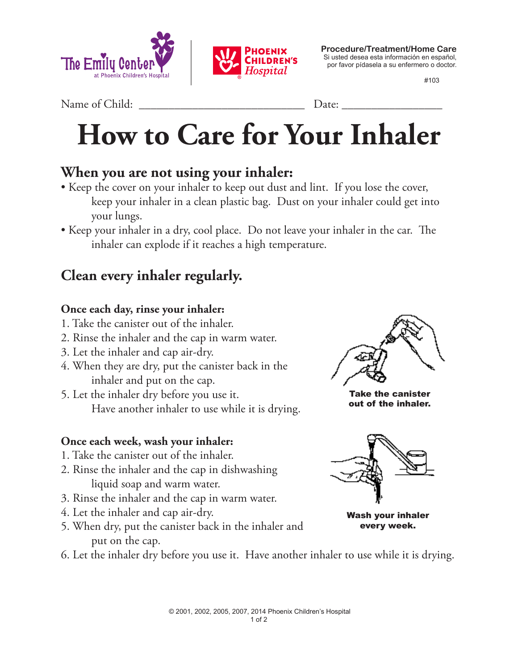



**Procedure/Treatment/Home Care** Si usted desea esta información en español, por favor pídasela a su enfermero o doctor.

#103

Name of Child: <u>Date:</u>

# **How to Care for Your Inhaler**

## **When you are not using your inhaler:**

- Keep the cover on your inhaler to keep out dust and lint. If you lose the cover, keep your inhaler in a clean plastic bag. Dust on your inhaler could get into your lungs.
- Keep your inhaler in a dry, cool place. Do not leave your inhaler in the car. The inhaler can explode if it reaches a high temperature.

## **Clean every inhaler regularly.**

#### **Once each day, rinse your inhaler:**

- 1. Take the canister out of the inhaler.
- 2. Rinse the inhaler and the cap in warm water.
- 3. Let the inhaler and cap air-dry.
- 4. When they are dry, put the canister back in the inhaler and put on the cap.
- 5. Let the inhaler dry before you use it. Have another inhaler to use while it is drying.

#### **Once each week, wash your inhaler:**

- 1. Take the canister out of the inhaler.
- 2. Rinse the inhaler and the cap in dishwashing liquid soap and warm water.
- 3. Rinse the inhaler and the cap in warm water.
- 4. Let the inhaler and cap air-dry.
- 5. When dry, put the canister back in the inhaler and put on the cap.



Take the canister out of the inhaler.



Wash your inhaler every week.

 © 2001, 2002, 2005, 2007, 2014 Phoenix Children's Hospital 1 of 2

6. Let the inhaler dry before you use it. Have another inhaler to use while it is drying.